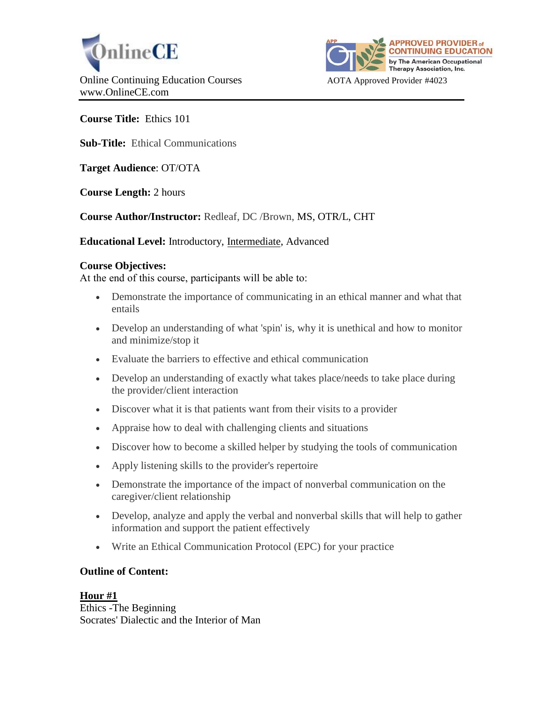



**Course Title:** Ethics 101

**Sub-Title:** Ethical Communications

**Target Audience**: OT/OTA

**Course Length:** 2 hours

**Course Author/Instructor:** Redleaf, DC /Brown, MS, OTR/L, CHT

**Educational Level:** Introductory, Intermediate, Advanced

## **Course Objectives:**

At the end of this course, participants will be able to:

- Demonstrate the importance of communicating in an ethical manner and what that entails
- Develop an understanding of what 'spin' is, why it is unethical and how to monitor and minimize/stop it
- Evaluate the barriers to effective and ethical communication
- Develop an understanding of exactly what takes place/needs to take place during the provider/client interaction
- Discover what it is that patients want from their visits to a provider
- Appraise how to deal with challenging clients and situations
- Discover how to become a skilled helper by studying the tools of communication
- Apply listening skills to the provider's repertoire
- Demonstrate the importance of the impact of nonverbal communication on the caregiver/client relationship
- Develop, analyze and apply the verbal and nonverbal skills that will help to gather information and support the patient effectively
- Write an Ethical Communication Protocol (EPC) for your practice

# **Outline of Content:**

**Hour #1** Ethics -The Beginning Socrates' Dialectic and the Interior of Man